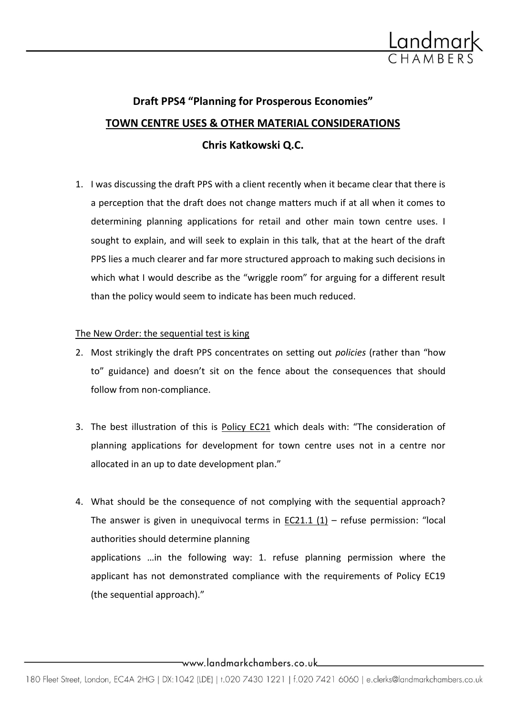

# **Draft PPS4 "Planning for Prosperous Economies" TOWN CENTRE USES & OTHER MATERIAL CONSIDERATIONS Chris Katkowski Q.C.**

1. I was discussing the draft PPS with a client recently when it became clear that there is a perception that the draft does not change matters much if at all when it comes to determining planning applications for retail and other main town centre uses. I sought to explain, and will seek to explain in this talk, that at the heart of the draft PPS lies a much clearer and far more structured approach to making such decisions in which what I would describe as the "wriggle room" for arguing for a different result than the policy would seem to indicate has been much reduced.

## The New Order: the sequential test is king

- 2. Most strikingly the draft PPS concentrates on setting out *policies* (rather than "how to" guidance) and doesn't sit on the fence about the consequences that should follow from non-compliance.
- 3. The best illustration of this is Policy EC21 which deals with: "The consideration of planning applications for development for town centre uses not in a centre nor allocated in an up to date development plan."
- 4. What should be the consequence of not complying with the sequential approach? The answer is given in unequivocal terms in  $EC21.1 (1)$  – refuse permission: "local authorities should determine planning applications …in the following way: 1. refuse planning permission where the applicant has not demonstrated compliance with the requirements of Policy EC19 (the sequential approach)."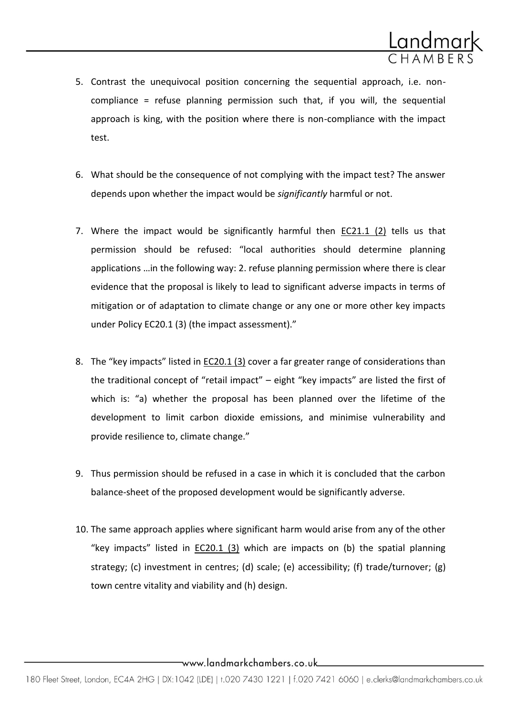

- 5. Contrast the unequivocal position concerning the sequential approach, i.e. noncompliance = refuse planning permission such that, if you will, the sequential approach is king, with the position where there is non-compliance with the impact test.
- 6. What should be the consequence of not complying with the impact test? The answer depends upon whether the impact would be *significantly* harmful or not.
- 7. Where the impact would be significantly harmful then EC21.1 (2) tells us that permission should be refused: "local authorities should determine planning applications …in the following way: 2. refuse planning permission where there is clear evidence that the proposal is likely to lead to significant adverse impacts in terms of mitigation or of adaptation to climate change or any one or more other key impacts under Policy EC20.1 (3) (the impact assessment)."
- 8. The "key impacts" listed in EC20.1 (3) cover a far greater range of considerations than the traditional concept of "retail impact" – eight "key impacts" are listed the first of which is: "a) whether the proposal has been planned over the lifetime of the development to limit carbon dioxide emissions, and minimise vulnerability and provide resilience to, climate change."
- 9. Thus permission should be refused in a case in which it is concluded that the carbon balance-sheet of the proposed development would be significantly adverse.
- 10. The same approach applies where significant harm would arise from any of the other "key impacts" listed in  $EC20.1$  (3) which are impacts on (b) the spatial planning strategy; (c) investment in centres; (d) scale; (e) accessibility; (f) trade/turnover; (g) town centre vitality and viability and (h) design.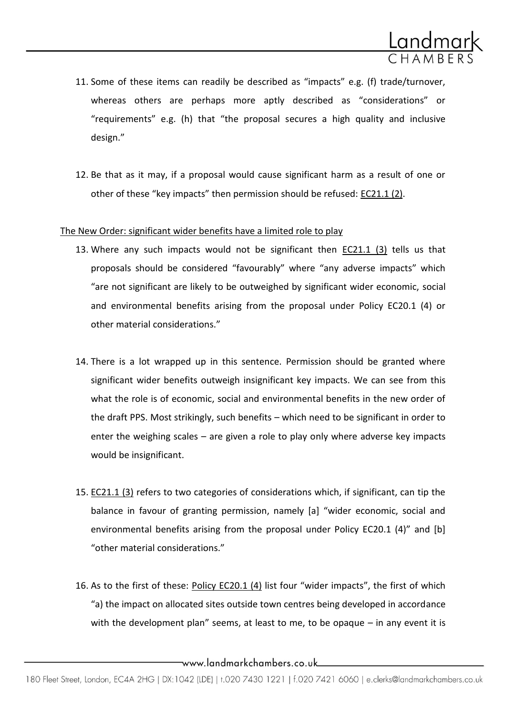

- 11. Some of these items can readily be described as "impacts" e.g. (f) trade/turnover, whereas others are perhaps more aptly described as "considerations" or "requirements" e.g. (h) that "the proposal secures a high quality and inclusive design."
- 12. Be that as it may, if a proposal would cause significant harm as a result of one or other of these "key impacts" then permission should be refused: EC21.1 (2).

#### The New Order: significant wider benefits have a limited role to play

- 13. Where any such impacts would not be significant then EC21.1 (3) tells us that proposals should be considered "favourably" where "any adverse impacts" which "are not significant are likely to be outweighed by significant wider economic, social and environmental benefits arising from the proposal under Policy EC20.1 (4) or other material considerations."
- 14. There is a lot wrapped up in this sentence. Permission should be granted where significant wider benefits outweigh insignificant key impacts. We can see from this what the role is of economic, social and environmental benefits in the new order of the draft PPS. Most strikingly, such benefits – which need to be significant in order to enter the weighing scales – are given a role to play only where adverse key impacts would be insignificant.
- 15. EC21.1 (3) refers to two categories of considerations which, if significant, can tip the balance in favour of granting permission, namely [a] "wider economic, social and environmental benefits arising from the proposal under Policy EC20.1 (4)" and  $[b]$ "other material considerations."
- 16. As to the first of these: Policy EC20.1 (4) list four "wider impacts", the first of which "a) the impact on allocated sites outside town centres being developed in accordance with the development plan" seems, at least to me, to be opaque – in any event it is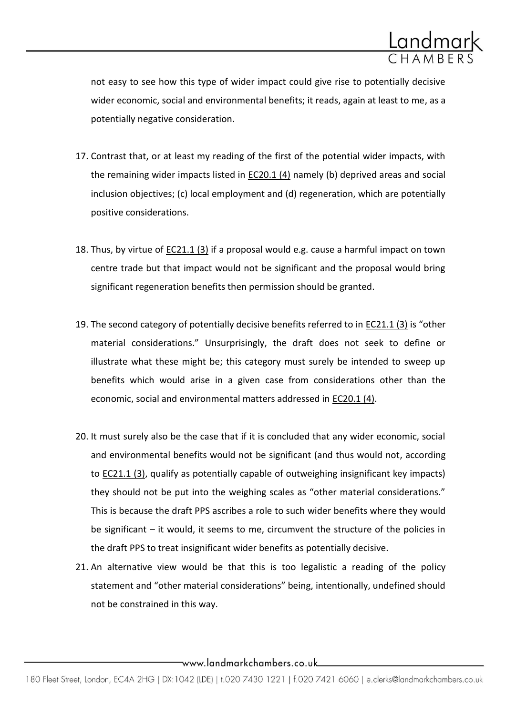

not easy to see how this type of wider impact could give rise to potentially decisive wider economic, social and environmental benefits; it reads, again at least to me, as a potentially negative consideration.

- 17. Contrast that, or at least my reading of the first of the potential wider impacts, with the remaining wider impacts listed in EC20.1 (4) namely (b) deprived areas and social inclusion objectives; (c) local employment and (d) regeneration, which are potentially positive considerations.
- 18. Thus, by virtue of EC21.1 (3) if a proposal would e.g. cause a harmful impact on town centre trade but that impact would not be significant and the proposal would bring significant regeneration benefits then permission should be granted.
- 19. The second category of potentially decisive benefits referred to in **EC21.1 (3)** is "other material considerations." Unsurprisingly, the draft does not seek to define or illustrate what these might be; this category must surely be intended to sweep up benefits which would arise in a given case from considerations other than the economic, social and environmental matters addressed in EC20.1 (4).
- 20. It must surely also be the case that if it is concluded that any wider economic, social and environmental benefits would not be significant (and thus would not, according to EC21.1 (3), qualify as potentially capable of outweighing insignificant key impacts) they should not be put into the weighing scales as "other material considerations." This is because the draft PPS ascribes a role to such wider benefits where they would be significant – it would, it seems to me, circumvent the structure of the policies in the draft PPS to treat insignificant wider benefits as potentially decisive.
- 21. An alternative view would be that this is too legalistic a reading of the policy statement and "other material considerations" being, intentionally, undefined should not be constrained in this way.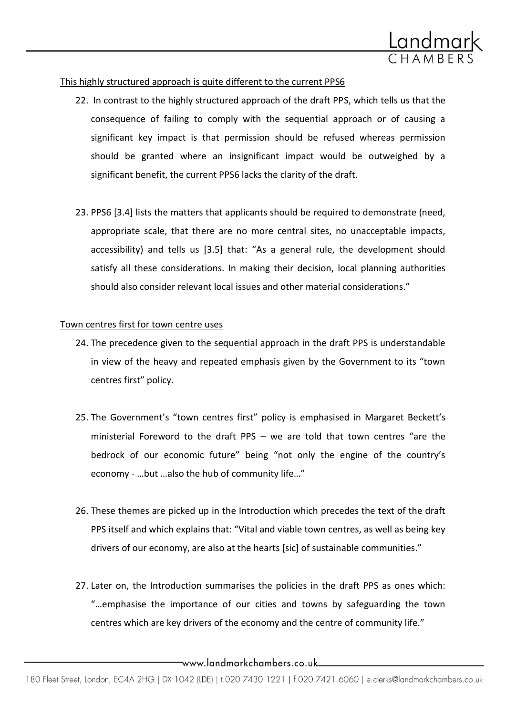

## This highly structured approach is quite different to the current PPS6

- 22. In contrast to the highly structured approach of the draft PPS, which tells us that the consequence of failing to comply with the sequential approach or of causing a significant key impact is that permission should be refused whereas permission should be granted where an insignificant impact would be outweighed by a significant benefit, the current PPS6 lacks the clarity of the draft.
- 23. PPS6 [3.4] lists the matters that applicants should be required to demonstrate (need, appropriate scale, that there are no more central sites, no unacceptable impacts, accessibility) and tells us [3.5] that: "As a general rule, the development should satisfy all these considerations. In making their decision, local planning authorities should also consider relevant local issues and other material considerations."

#### Town centres first for town centre uses

- 24. The precedence given to the sequential approach in the draft PPS is understandable in view of the heavy and repeated emphasis given by the Government to its "town centres first" policy.
- 25. The Government's "town centres first" policy is emphasised in Margaret Beckett's ministerial Foreword to the draft PPS – we are told that town centres "are the bedrock of our economic future" being "not only the engine of the country's economy - …but …also the hub of community life…"
- 26. These themes are picked up in the Introduction which precedes the text of the draft PPS itself and which explains that: "Vital and viable town centres, as well as being key drivers of our economy, are also at the hearts [sic] of sustainable communities."
- 27. Later on, the Introduction summarises the policies in the draft PPS as ones which: "…emphasise the importance of our cities and towns by safeguarding the town centres which are key drivers of the economy and the centre of community life."

<sup>180</sup> Fleet Street, London, EC4A 2HG | DX:1042 (LDE) | t.020 7430 1221 | f.020 7421 6060 | e.clerks@landmarkchambers.co.uk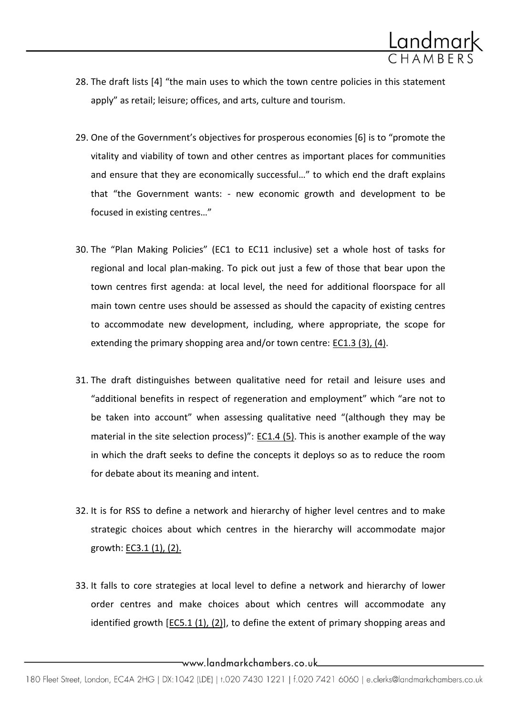

- 28. The draft lists [4] "the main uses to which the town centre policies in this statement apply" as retail; leisure; offices, and arts, culture and tourism.
- 29. One of the Government's objectives for prosperous economies [6] is to "promote the vitality and viability of town and other centres as important places for communities and ensure that they are economically successful…" to which end the draft explains that "the Government wants: - new economic growth and development to be focused in existing centres…"
- 30. The "Plan Making Policies" (EC1 to EC11 inclusive) set a whole host of tasks for regional and local plan-making. To pick out just a few of those that bear upon the town centres first agenda: at local level, the need for additional floorspace for all main town centre uses should be assessed as should the capacity of existing centres to accommodate new development, including, where appropriate, the scope for extending the primary shopping area and/or town centre: EC1.3 (3), (4).
- 31. The draft distinguishes between qualitative need for retail and leisure uses and "additional benefits in respect of regeneration and employment" which "are not to be taken into account" when assessing qualitative need "(although they may be material in the site selection process)": EC1.4 (5). This is another example of the way in which the draft seeks to define the concepts it deploys so as to reduce the room for debate about its meaning and intent.
- 32. It is for RSS to define a network and hierarchy of higher level centres and to make strategic choices about which centres in the hierarchy will accommodate major growth: EC3.1 (1), (2).
- 33. It falls to core strategies at local level to define a network and hierarchy of lower order centres and make choices about which centres will accommodate any identified growth  $[EC5.1 (1), (2)]$ , to define the extent of primary shopping areas and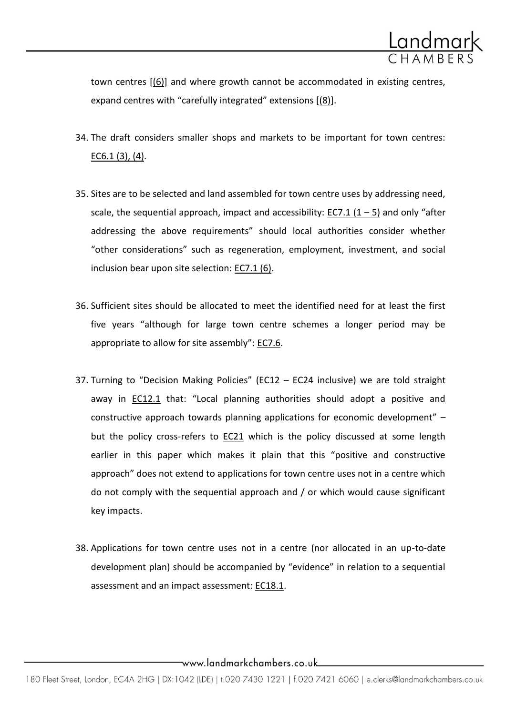

town centres [(6)] and where growth cannot be accommodated in existing centres, expand centres with "carefully integrated" extensions  $[(8)]$ .

- 34. The draft considers smaller shops and markets to be important for town centres: EC6.1 (3), (4).
- 35. Sites are to be selected and land assembled for town centre uses by addressing need, scale, the sequential approach, impact and accessibility: EC7.1  $(1 – 5)$  and only "after addressing the above requirements" should local authorities consider whether "other considerations" such as regeneration, employment, investment, and social inclusion bear upon site selection: EC7.1 (6).
- 36. Sufficient sites should be allocated to meet the identified need for at least the first five years "although for large town centre schemes a longer period may be appropriate to allow for site assembly": EC7.6.
- 37. Turning to "Decision Making Policies" (EC12 EC24 inclusive) we are told straight away in EC12.1 that: "Local planning authorities should adopt a positive and constructive approach towards planning applications for economic development" – but the policy cross-refers to EC21 which is the policy discussed at some length earlier in this paper which makes it plain that this "positive and constructive approach" does not extend to applications for town centre uses not in a centre which do not comply with the sequential approach and / or which would cause significant key impacts.
- 38. Applications for town centre uses not in a centre (nor allocated in an up-to-date development plan) should be accompanied by "evidence" in relation to a sequential assessment and an impact assessment: EC18.1.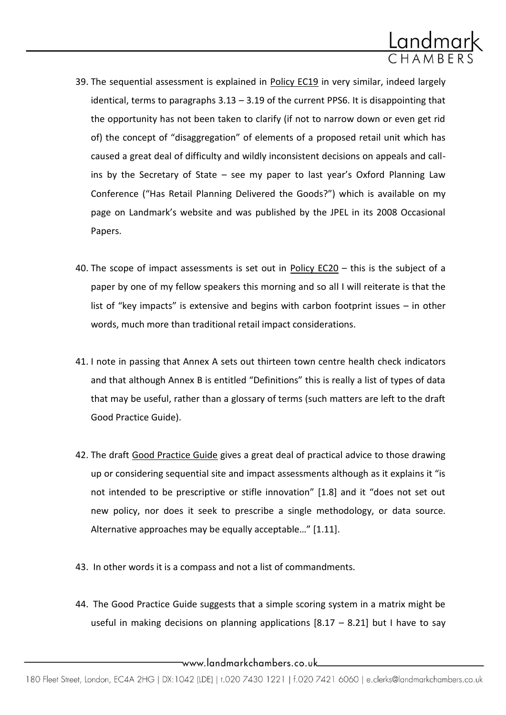

- 39. The sequential assessment is explained in Policy EC19 in very similar, indeed largely identical, terms to paragraphs 3.13 – 3.19 of the current PPS6. It is disappointing that the opportunity has not been taken to clarify (if not to narrow down or even get rid of) the concept of "disaggregation" of elements of a proposed retail unit which has caused a great deal of difficulty and wildly inconsistent decisions on appeals and callins by the Secretary of State – see my paper to last year's Oxford Planning Law Conference ("Has Retail Planning Delivered the Goods?") which is available on my page on Landmark's website and was published by the JPEL in its 2008 Occasional Papers.
- 40. The scope of impact assessments is set out in Policy EC20 this is the subject of a paper by one of my fellow speakers this morning and so all I will reiterate is that the list of "key impacts" is extensive and begins with carbon footprint issues – in other words, much more than traditional retail impact considerations.
- 41. I note in passing that Annex A sets out thirteen town centre health check indicators and that although Annex B is entitled "Definitions" this is really a list of types of data that may be useful, rather than a glossary of terms (such matters are left to the draft Good Practice Guide).
- 42. The draft Good Practice Guide gives a great deal of practical advice to those drawing up or considering sequential site and impact assessments although as it explains it "is not intended to be prescriptive or stifle innovation" [1.8] and it "does not set out new policy, nor does it seek to prescribe a single methodology, or data source. Alternative approaches may be equally acceptable..."  $[1.11]$ .
- 43. In other words it is a compass and not a list of commandments.
- 44. The Good Practice Guide suggests that a simple scoring system in a matrix might be useful in making decisions on planning applications  $[8.17 - 8.21]$  but I have to say

\_www.landmarkchambers.co.uk\_\_